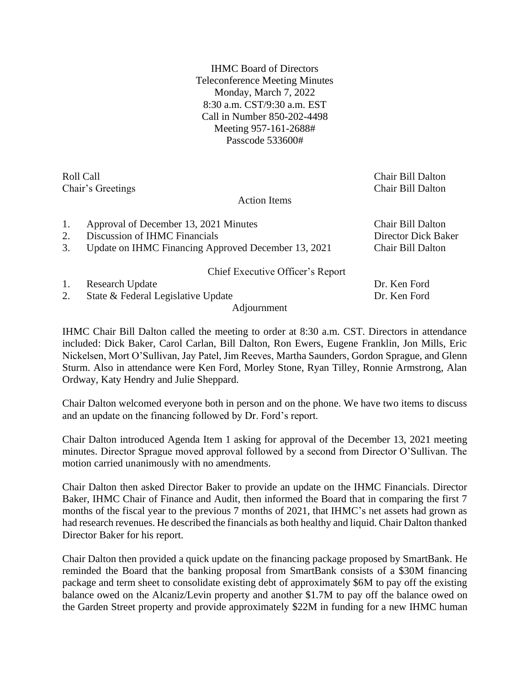IHMC Board of Directors Teleconference Meeting Minutes Monday, March 7, 2022 8:30 a.m. CST/9:30 a.m. EST Call in Number 850-202-4498 Meeting 957-161-2688# Passcode 533600#

Roll Call Chair Bill Dalton Chair's Greetings Chair Bill Dalton

## Action Items

| 1. | Approval of December 13, 2021 Minutes               | Chair Bill Dalton   |
|----|-----------------------------------------------------|---------------------|
| 2. | Discussion of IHMC Financials                       | Director Dick Baker |
| 3. | Update on IHMC Financing Approved December 13, 2021 | Chair Bill Dalton   |
|    | Chief Executive Officer's Report                    |                     |
| 1. | Research Update                                     | Dr. Ken Ford        |
| 2. | State & Federal Legislative Update                  | Dr. Ken Ford        |
|    | Adjournment                                         |                     |

IHMC Chair Bill Dalton called the meeting to order at 8:30 a.m. CST. Directors in attendance included: Dick Baker, Carol Carlan, Bill Dalton, Ron Ewers, Eugene Franklin, Jon Mills, Eric Nickelsen, Mort O'Sullivan, Jay Patel, Jim Reeves, Martha Saunders, Gordon Sprague, and Glenn Sturm. Also in attendance were Ken Ford, Morley Stone, Ryan Tilley, Ronnie Armstrong, Alan Ordway, Katy Hendry and Julie Sheppard.

Chair Dalton welcomed everyone both in person and on the phone. We have two items to discuss and an update on the financing followed by Dr. Ford's report.

Chair Dalton introduced Agenda Item 1 asking for approval of the December 13, 2021 meeting minutes. Director Sprague moved approval followed by a second from Director O'Sullivan. The motion carried unanimously with no amendments.

Chair Dalton then asked Director Baker to provide an update on the IHMC Financials. Director Baker, IHMC Chair of Finance and Audit, then informed the Board that in comparing the first 7 months of the fiscal year to the previous 7 months of 2021, that IHMC's net assets had grown as had research revenues. He described the financials as both healthy and liquid. Chair Dalton thanked Director Baker for his report.

Chair Dalton then provided a quick update on the financing package proposed by SmartBank. He reminded the Board that the banking proposal from SmartBank consists of a \$30M financing package and term sheet to consolidate existing debt of approximately \$6M to pay off the existing balance owed on the Alcaniz/Levin property and another \$1.7M to pay off the balance owed on the Garden Street property and provide approximately \$22M in funding for a new IHMC human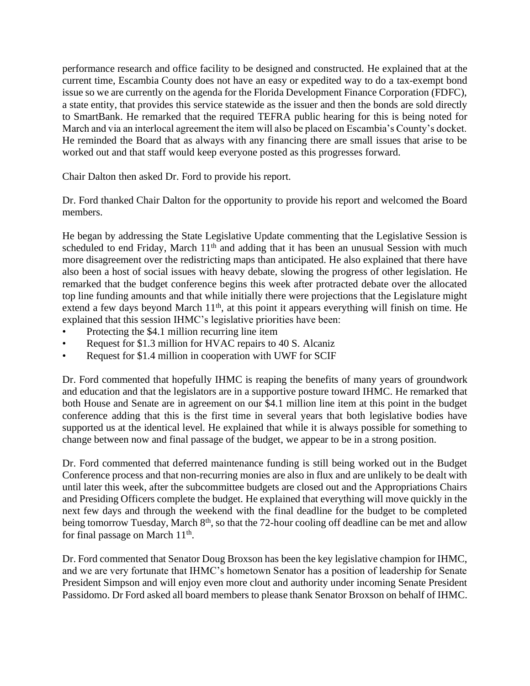performance research and office facility to be designed and constructed. He explained that at the current time, Escambia County does not have an easy or expedited way to do a tax-exempt bond issue so we are currently on the agenda for the Florida Development Finance Corporation (FDFC), a state entity, that provides this service statewide as the issuer and then the bonds are sold directly to SmartBank. He remarked that the required TEFRA public hearing for this is being noted for March and via an interlocal agreement the item will also be placed on Escambia's County's docket. He reminded the Board that as always with any financing there are small issues that arise to be worked out and that staff would keep everyone posted as this progresses forward.

Chair Dalton then asked Dr. Ford to provide his report.

Dr. Ford thanked Chair Dalton for the opportunity to provide his report and welcomed the Board members.

He began by addressing the State Legislative Update commenting that the Legislative Session is scheduled to end Friday, March  $11<sup>th</sup>$  and adding that it has been an unusual Session with much more disagreement over the redistricting maps than anticipated. He also explained that there have also been a host of social issues with heavy debate, slowing the progress of other legislation. He remarked that the budget conference begins this week after protracted debate over the allocated top line funding amounts and that while initially there were projections that the Legislature might extend a few days beyond March 11<sup>th</sup>, at this point it appears everything will finish on time. He explained that this session IHMC's legislative priorities have been:

- Protecting the \$4.1 million recurring line item
- Request for \$1.3 million for HVAC repairs to 40 S. Alcaniz
- Request for \$1.4 million in cooperation with UWF for SCIF

Dr. Ford commented that hopefully IHMC is reaping the benefits of many years of groundwork and education and that the legislators are in a supportive posture toward IHMC. He remarked that both House and Senate are in agreement on our \$4.1 million line item at this point in the budget conference adding that this is the first time in several years that both legislative bodies have supported us at the identical level. He explained that while it is always possible for something to change between now and final passage of the budget, we appear to be in a strong position.

Dr. Ford commented that deferred maintenance funding is still being worked out in the Budget Conference process and that non-recurring monies are also in flux and are unlikely to be dealt with until later this week, after the subcommittee budgets are closed out and the Appropriations Chairs and Presiding Officers complete the budget. He explained that everything will move quickly in the next few days and through the weekend with the final deadline for the budget to be completed being tomorrow Tuesday, March 8<sup>th</sup>, so that the 72-hour cooling off deadline can be met and allow for final passage on March 11<sup>th</sup>.

Dr. Ford commented that Senator Doug Broxson has been the key legislative champion for IHMC, and we are very fortunate that IHMC's hometown Senator has a position of leadership for Senate President Simpson and will enjoy even more clout and authority under incoming Senate President Passidomo. Dr Ford asked all board members to please thank Senator Broxson on behalf of IHMC.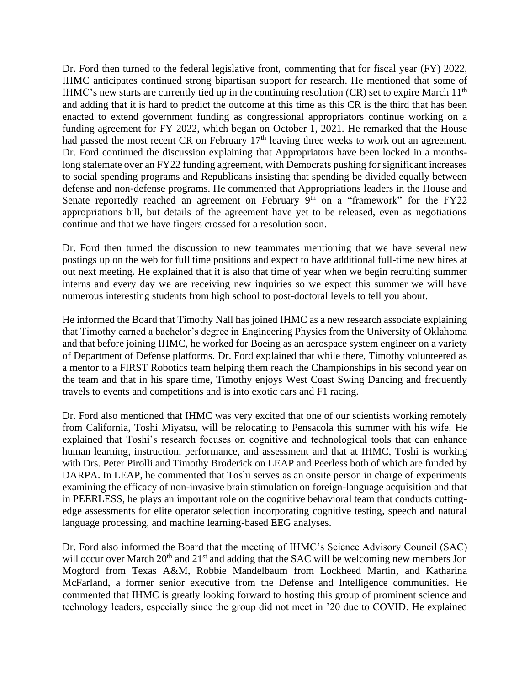Dr. Ford then turned to the federal legislative front, commenting that for fiscal year (FY) 2022, IHMC anticipates continued strong bipartisan support for research. He mentioned that some of IHMC's new starts are currently tied up in the continuing resolution  $(CR)$  set to expire March 11<sup>th</sup> and adding that it is hard to predict the outcome at this time as this CR is the third that has been enacted to extend government funding as congressional appropriators continue working on a funding agreement for FY 2022, which began on October 1, 2021. He remarked that the House had passed the most recent CR on February 17<sup>th</sup> leaving three weeks to work out an agreement. Dr. Ford continued the discussion explaining that Appropriators have been locked in a monthslong stalemate over an FY22 funding agreement, with Democrats pushing for significant increases to social spending programs and Republicans insisting that spending be divided equally between defense and non-defense programs. He commented that Appropriations leaders in the House and Senate reportedly reached an agreement on February  $9<sup>th</sup>$  on a "framework" for the FY22 appropriations bill, but details of the agreement have yet to be released, even as negotiations continue and that we have fingers crossed for a resolution soon.

Dr. Ford then turned the discussion to new teammates mentioning that we have several new postings up on the web for full time positions and expect to have additional full-time new hires at out next meeting. He explained that it is also that time of year when we begin recruiting summer interns and every day we are receiving new inquiries so we expect this summer we will have numerous interesting students from high school to post-doctoral levels to tell you about.

He informed the Board that Timothy Nall has joined IHMC as a new research associate explaining that Timothy earned a bachelor's degree in Engineering Physics from the University of Oklahoma and that before joining IHMC, he worked for Boeing as an aerospace system engineer on a variety of Department of Defense platforms. Dr. Ford explained that while there, Timothy volunteered as a mentor to a FIRST Robotics team helping them reach the Championships in his second year on the team and that in his spare time, Timothy enjoys West Coast Swing Dancing and frequently travels to events and competitions and is into exotic cars and F1 racing.

Dr. Ford also mentioned that IHMC was very excited that one of our scientists working remotely from California, Toshi Miyatsu, will be relocating to Pensacola this summer with his wife. He explained that Toshi's research focuses on cognitive and technological tools that can enhance human learning, instruction, performance, and assessment and that at IHMC, Toshi is working with Drs. Peter Pirolli and Timothy Broderick on LEAP and Peerless both of which are funded by DARPA. In LEAP, he commented that Toshi serves as an onsite person in charge of experiments examining the efficacy of non-invasive brain stimulation on foreign-language acquisition and that in PEERLESS, he plays an important role on the cognitive behavioral team that conducts cuttingedge assessments for elite operator selection incorporating cognitive testing, speech and natural language processing, and machine learning-based EEG analyses.

Dr. Ford also informed the Board that the meeting of IHMC's Science Advisory Council (SAC) will occur over March 20<sup>th</sup> and 21<sup>st</sup> and adding that the SAC will be welcoming new members Jon Mogford from Texas A&M, Robbie Mandelbaum from Lockheed Martin, and Katharina McFarland, a former senior executive from the Defense and Intelligence communities. He commented that IHMC is greatly looking forward to hosting this group of prominent science and technology leaders, especially since the group did not meet in '20 due to COVID. He explained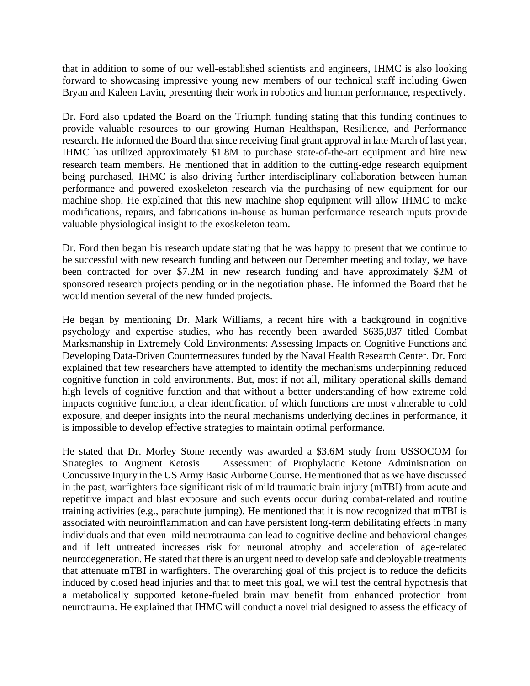that in addition to some of our well-established scientists and engineers, IHMC is also looking forward to showcasing impressive young new members of our technical staff including Gwen Bryan and Kaleen Lavin, presenting their work in robotics and human performance, respectively.

Dr. Ford also updated the Board on the Triumph funding stating that this funding continues to provide valuable resources to our growing Human Healthspan, Resilience, and Performance research. He informed the Board that since receiving final grant approval in late March of last year, IHMC has utilized approximately \$1.8M to purchase state-of-the-art equipment and hire new research team members. He mentioned that in addition to the cutting-edge research equipment being purchased, IHMC is also driving further interdisciplinary collaboration between human performance and powered exoskeleton research via the purchasing of new equipment for our machine shop. He explained that this new machine shop equipment will allow IHMC to make modifications, repairs, and fabrications in-house as human performance research inputs provide valuable physiological insight to the exoskeleton team.

Dr. Ford then began his research update stating that he was happy to present that we continue to be successful with new research funding and between our December meeting and today, we have been contracted for over \$7.2M in new research funding and have approximately \$2M of sponsored research projects pending or in the negotiation phase. He informed the Board that he would mention several of the new funded projects.

He began by mentioning Dr. Mark Williams, a recent hire with a background in cognitive psychology and expertise studies, who has recently been awarded \$635,037 titled Combat Marksmanship in Extremely Cold Environments: Assessing Impacts on Cognitive Functions and Developing Data-Driven Countermeasures funded by the Naval Health Research Center. Dr. Ford explained that few researchers have attempted to identify the mechanisms underpinning reduced cognitive function in cold environments. But, most if not all, military operational skills demand high levels of cognitive function and that without a better understanding of how extreme cold impacts cognitive function, a clear identification of which functions are most vulnerable to cold exposure, and deeper insights into the neural mechanisms underlying declines in performance, it is impossible to develop effective strategies to maintain optimal performance.

He stated that Dr. Morley Stone recently was awarded a \$3.6M study from USSOCOM for Strategies to Augment Ketosis — Assessment of Prophylactic Ketone Administration on Concussive Injury in the US Army Basic Airborne Course. He mentioned that as we have discussed in the past, warfighters face significant risk of mild traumatic brain injury (mTBI) from acute and repetitive impact and blast exposure and such events occur during combat-related and routine training activities (e.g., parachute jumping). He mentioned that it is now recognized that mTBI is associated with neuroinflammation and can have persistent long-term debilitating effects in many individuals and that even mild neurotrauma can lead to cognitive decline and behavioral changes and if left untreated increases risk for neuronal atrophy and acceleration of age-related neurodegeneration. He stated that there is an urgent need to develop safe and deployable treatments that attenuate mTBI in warfighters. The overarching goal of this project is to reduce the deficits induced by closed head injuries and that to meet this goal, we will test the central hypothesis that a metabolically supported ketone-fueled brain may benefit from enhanced protection from neurotrauma. He explained that IHMC will conduct a novel trial designed to assess the efficacy of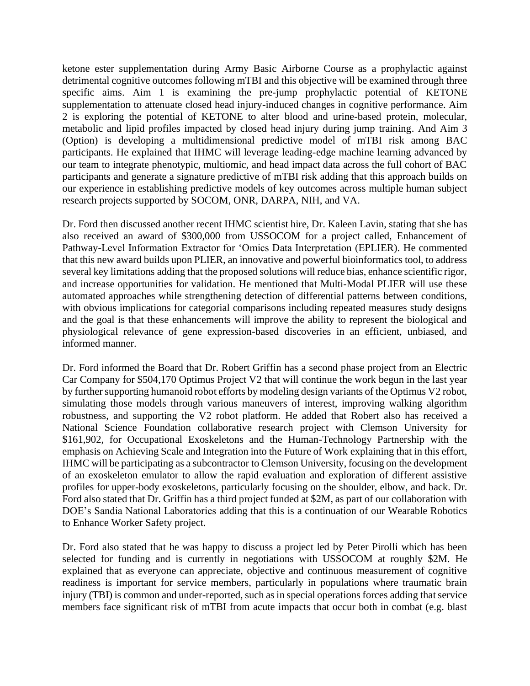ketone ester supplementation during Army Basic Airborne Course as a prophylactic against detrimental cognitive outcomes following mTBI and this objective will be examined through three specific aims. Aim 1 is examining the pre-jump prophylactic potential of KETONE supplementation to attenuate closed head injury-induced changes in cognitive performance. Aim 2 is exploring the potential of KETONE to alter blood and urine-based protein, molecular, metabolic and lipid profiles impacted by closed head injury during jump training. And Aim 3 (Option) is developing a multidimensional predictive model of mTBI risk among BAC participants. He explained that IHMC will leverage leading-edge machine learning advanced by our team to integrate phenotypic, multiomic, and head impact data across the full cohort of BAC participants and generate a signature predictive of mTBI risk adding that this approach builds on our experience in establishing predictive models of key outcomes across multiple human subject research projects supported by SOCOM, ONR, DARPA, NIH, and VA.

Dr. Ford then discussed another recent IHMC scientist hire, Dr. Kaleen Lavin, stating that she has also received an award of \$300,000 from USSOCOM for a project called, Enhancement of Pathway-Level Information Extractor for 'Omics Data Interpretation (EPLIER). He commented that this new award builds upon PLIER, an innovative and powerful bioinformatics tool, to address several key limitations adding that the proposed solutions will reduce bias, enhance scientific rigor, and increase opportunities for validation. He mentioned that Multi-Modal PLIER will use these automated approaches while strengthening detection of differential patterns between conditions, with obvious implications for categorial comparisons including repeated measures study designs and the goal is that these enhancements will improve the ability to represent the biological and physiological relevance of gene expression-based discoveries in an efficient, unbiased, and informed manner.

Dr. Ford informed the Board that Dr. Robert Griffin has a second phase project from an Electric Car Company for \$504,170 Optimus Project V2 that will continue the work begun in the last year by further supporting humanoid robot efforts by modeling design variants of the Optimus V2 robot, simulating those models through various maneuvers of interest, improving walking algorithm robustness, and supporting the V2 robot platform. He added that Robert also has received a National Science Foundation collaborative research project with Clemson University for \$161,902, for Occupational Exoskeletons and the Human-Technology Partnership with the emphasis on Achieving Scale and Integration into the Future of Work explaining that in this effort, IHMC will be participating as a subcontractor to Clemson University, focusing on the development of an exoskeleton emulator to allow the rapid evaluation and exploration of different assistive profiles for upper-body exoskeletons, particularly focusing on the shoulder, elbow, and back. Dr. Ford also stated that Dr. Griffin has a third project funded at \$2M, as part of our collaboration with DOE's Sandia National Laboratories adding that this is a continuation of our Wearable Robotics to Enhance Worker Safety project.

Dr. Ford also stated that he was happy to discuss a project led by Peter Pirolli which has been selected for funding and is currently in negotiations with USSOCOM at roughly \$2M. He explained that as everyone can appreciate, objective and continuous measurement of cognitive readiness is important for service members, particularly in populations where traumatic brain injury (TBI) is common and under-reported, such as in special operations forces adding that service members face significant risk of mTBI from acute impacts that occur both in combat (e.g. blast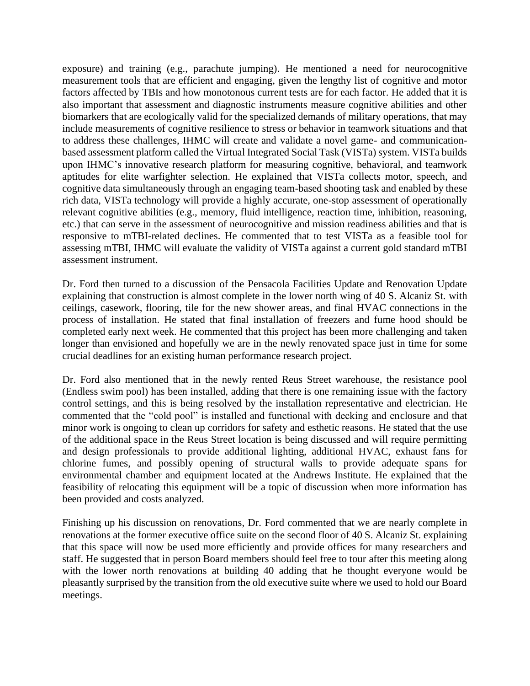exposure) and training (e.g., parachute jumping). He mentioned a need for neurocognitive measurement tools that are efficient and engaging, given the lengthy list of cognitive and motor factors affected by TBIs and how monotonous current tests are for each factor. He added that it is also important that assessment and diagnostic instruments measure cognitive abilities and other biomarkers that are ecologically valid for the specialized demands of military operations, that may include measurements of cognitive resilience to stress or behavior in teamwork situations and that to address these challenges, IHMC will create and validate a novel game- and communicationbased assessment platform called the Virtual Integrated Social Task (VISTa) system. VISTa builds upon IHMC's innovative research platform for measuring cognitive, behavioral, and teamwork aptitudes for elite warfighter selection. He explained that VISTa collects motor, speech, and cognitive data simultaneously through an engaging team-based shooting task and enabled by these rich data, VISTa technology will provide a highly accurate, one-stop assessment of operationally relevant cognitive abilities (e.g., memory, fluid intelligence, reaction time, inhibition, reasoning, etc.) that can serve in the assessment of neurocognitive and mission readiness abilities and that is responsive to mTBI-related declines. He commented that to test VISTa as a feasible tool for assessing mTBI, IHMC will evaluate the validity of VISTa against a current gold standard mTBI assessment instrument.

Dr. Ford then turned to a discussion of the Pensacola Facilities Update and Renovation Update explaining that construction is almost complete in the lower north wing of 40 S. Alcaniz St. with ceilings, casework, flooring, tile for the new shower areas, and final HVAC connections in the process of installation. He stated that final installation of freezers and fume hood should be completed early next week. He commented that this project has been more challenging and taken longer than envisioned and hopefully we are in the newly renovated space just in time for some crucial deadlines for an existing human performance research project.

Dr. Ford also mentioned that in the newly rented Reus Street warehouse, the resistance pool (Endless swim pool) has been installed, adding that there is one remaining issue with the factory control settings, and this is being resolved by the installation representative and electrician. He commented that the "cold pool" is installed and functional with decking and enclosure and that minor work is ongoing to clean up corridors for safety and esthetic reasons. He stated that the use of the additional space in the Reus Street location is being discussed and will require permitting and design professionals to provide additional lighting, additional HVAC, exhaust fans for chlorine fumes, and possibly opening of structural walls to provide adequate spans for environmental chamber and equipment located at the Andrews Institute. He explained that the feasibility of relocating this equipment will be a topic of discussion when more information has been provided and costs analyzed.

Finishing up his discussion on renovations, Dr. Ford commented that we are nearly complete in renovations at the former executive office suite on the second floor of 40 S. Alcaniz St. explaining that this space will now be used more efficiently and provide offices for many researchers and staff. He suggested that in person Board members should feel free to tour after this meeting along with the lower north renovations at building 40 adding that he thought everyone would be pleasantly surprised by the transition from the old executive suite where we used to hold our Board meetings.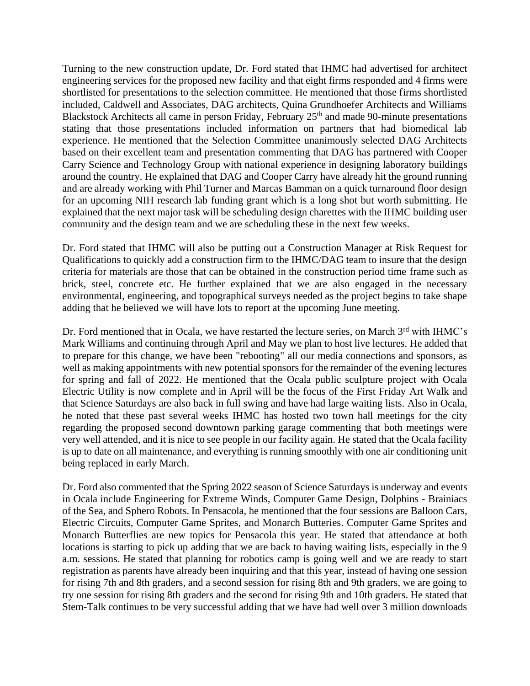Turning to the new construction update, Dr. Ford stated that IHMC had advertised for architect engineering services for the proposed new facility and that eight firms responded and 4 firms were shortlisted for presentations to the selection committee. He mentioned that those firms shortlisted included, Caldwell and Associates, DAG architects, Quina Grundhoefer Architects and Williams Blackstock Architects all came in person Friday, February 25<sup>th</sup> and made 90-minute presentations stating that those presentations included information on partners that had biomedical lab experience. He mentioned that the Selection Committee unanimously selected DAG Architects based on their excellent team and presentation commenting that DAG has partnered with Cooper Carry Science and Technology Group with national experience in designing laboratory buildings around the country. He explained that DAG and Cooper Carry have already hit the ground running and are already working with Phil Turner and Marcas Bamman on a quick turnaround floor design for an upcoming NIH research lab funding grant which is a long shot but worth submitting. He explained that the next major task will be scheduling design charettes with the IHMC building user community and the design team and we are scheduling these in the next few weeks.

Dr. Ford stated that IHMC will also be putting out a Construction Manager at Risk Request for Qualifications to quickly add a construction firm to the IHMC/DAG team to insure that the design criteria for materials are those that can be obtained in the construction period time frame such as brick, steel, concrete etc. He further explained that we are also engaged in the necessary environmental, engineering, and topographical surveys needed as the project begins to take shape adding that he believed we will have lots to report at the upcoming June meeting.

Dr. Ford mentioned that in Ocala, we have restarted the lecture series, on March 3<sup>rd</sup> with IHMC's Mark Williams and continuing through April and May we plan to host live lectures. He added that to prepare for this change, we have been "rebooting" all our media connections and sponsors, as well as making appointments with new potential sponsors for the remainder of the evening lectures for spring and fall of 2022. He mentioned that the Ocala public sculpture project with Ocala Electric Utility is now complete and in April will be the focus of the First Friday Art Walk and that Science Saturdays are also back in full swing and have had large waiting lists. Also in Ocala, he noted that these past several weeks IHMC has hosted two town hall meetings for the city regarding the proposed second downtown parking garage commenting that both meetings were very well attended, and it is nice to see people in our facility again. He stated that the Ocala facility is up to date on all maintenance, and everything is running smoothly with one air conditioning unit being replaced in early March.

Dr. Ford also commented that the Spring 2022 season of Science Saturdays is underway and events in Ocala include Engineering for Extreme Winds, Computer Game Design, Dolphins - Brainiacs of the Sea, and Sphero Robots. In Pensacola, he mentioned that the four sessions are Balloon Cars, Electric Circuits, Computer Game Sprites, and Monarch Butteries. Computer Game Sprites and Monarch Butterflies are new topics for Pensacola this year. He stated that attendance at both locations is starting to pick up adding that we are back to having waiting lists, especially in the 9 a.m. sessions. He stated that planning for robotics camp is going well and we are ready to start registration as parents have already been inquiring and that this year, instead of having one session for rising 7th and 8th graders, and a second session for rising 8th and 9th graders, we are going to try one session for rising 8th graders and the second for rising 9th and 10th graders. He stated that Stem-Talk continues to be very successful adding that we have had well over 3 million downloads